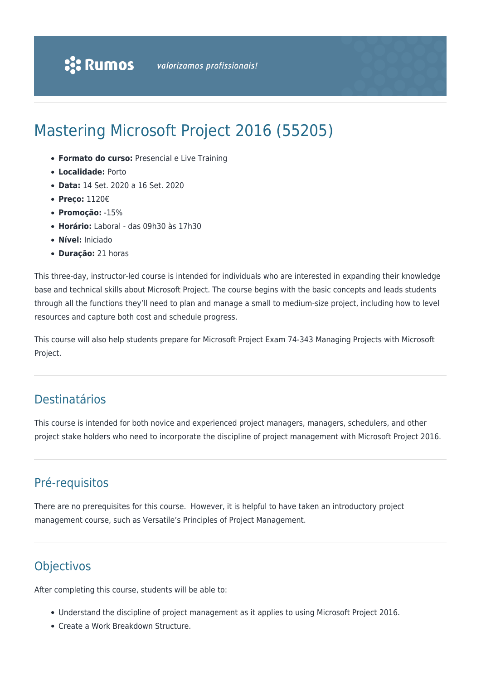# Mastering Microsoft Project 2016 (55205)

- **Formato do curso:** Presencial e Live Training
- **Localidade:** Porto
- **Data:** 14 Set. 2020 a 16 Set. 2020
- **Preço:** 1120€
- **Promoção:** -15%
- **Horário:** Laboral das 09h30 às 17h30
- **Nível:** Iniciado
- **Duração:** 21 horas

This three-day, instructor-led course is intended for individuals who are interested in expanding their knowledge base and technical skills about Microsoft Project. The course begins with the basic concepts and leads students through all the functions they'll need to plan and manage a small to medium-size project, including how to level resources and capture both cost and schedule progress.

This course will also help students prepare for Microsoft Project Exam 74-343 Managing Projects with Microsoft Project.

### Destinatários

This course is intended for both novice and experienced project managers, managers, schedulers, and other project stake holders who need to incorporate the discipline of project management with Microsoft Project 2016.

# Pré-requisitos

There are no prerequisites for this course. However, it is helpful to have taken an introductory project management course, such as Versatile's Principles of Project Management.

## **Objectivos**

After completing this course, students will be able to:

- Understand the discipline of project management as it applies to using Microsoft Project 2016.
- Create a Work Breakdown Structure.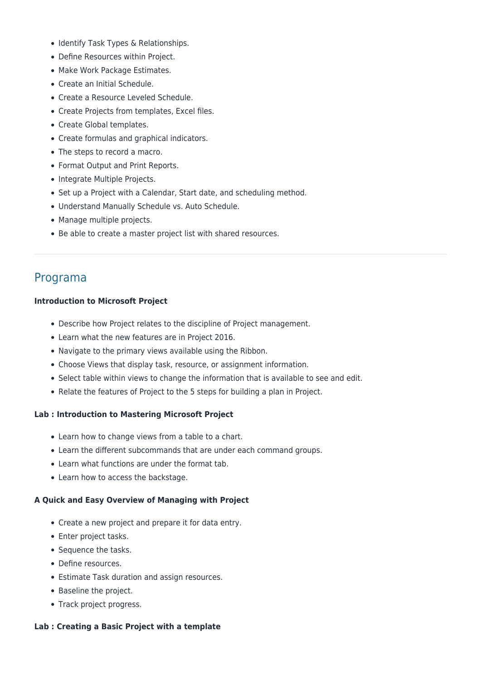- Identify Task Types & Relationships.
- Define Resources within Project.
- Make Work Package Estimates.
- Create an Initial Schedule.
- Create a Resource Leveled Schedule.
- Create Projects from templates, Excel files.
- Create Global templates.
- Create formulas and graphical indicators.
- The steps to record a macro.
- Format Output and Print Reports.
- Integrate Multiple Projects.
- Set up a Project with a Calendar, Start date, and scheduling method.
- Understand Manually Schedule vs. Auto Schedule.
- Manage multiple projects.
- Be able to create a master project list with shared resources.

### Programa

#### **Introduction to Microsoft Project**

- Describe how Project relates to the discipline of Project management.
- Learn what the new features are in Project 2016.
- Navigate to the primary views available using the Ribbon.
- Choose Views that display task, resource, or assignment information.
- Select table within views to change the information that is available to see and edit.
- Relate the features of Project to the 5 steps for building a plan in Project.

#### **Lab : Introduction to Mastering Microsoft Project**

- Learn how to change views from a table to a chart.
- Learn the different subcommands that are under each command groups.
- Learn what functions are under the format tab.
- Learn how to access the backstage.

#### **A Quick and Easy Overview of Managing with Project**

- Create a new project and prepare it for data entry.
- Enter project tasks.
- Sequence the tasks.
- Define resources.
- Estimate Task duration and assign resources.
- Baseline the project.
- Track project progress.

#### **Lab : Creating a Basic Project with a template**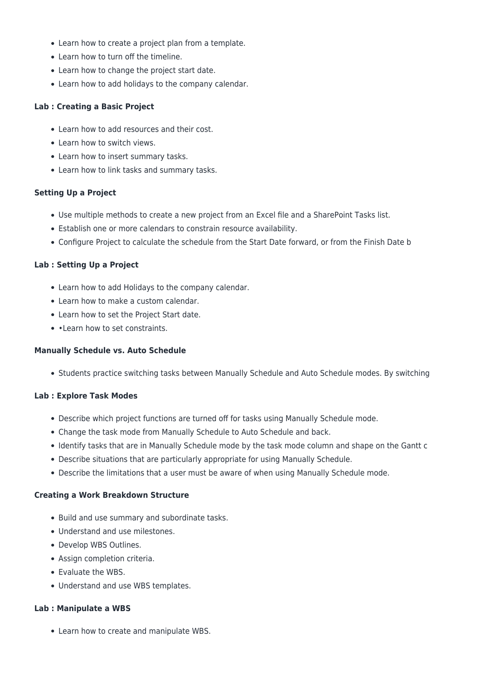- Learn how to create a project plan from a template.
- Learn how to turn off the timeline.
- Learn how to change the project start date.
- Learn how to add holidays to the company calendar.

#### **Lab : Creating a Basic Project**

- Learn how to add resources and their cost.
- Learn how to switch views.
- Learn how to insert summary tasks.
- Learn how to link tasks and summary tasks.

#### **Setting Up a Project**

- Use multiple methods to create a new project from an Excel file and a SharePoint Tasks list.
- Establish one or more calendars to constrain resource availability.
- Configure Project to calculate the schedule from the Start Date forward, or from the Finish Date b

#### **Lab : Setting Up a Project**

- Learn how to add Holidays to the company calendar.
- Learn how to make a custom calendar.
- Learn how to set the Project Start date.
- • Learn how to set constraints.

#### **Manually Schedule vs. Auto Schedule**

• Students practice switching tasks between Manually Schedule and Auto Schedule modes. By switching

#### **Lab : Explore Task Modes**

- Describe which project functions are turned off for tasks using Manually Schedule mode.
- Change the task mode from Manually Schedule to Auto Schedule and back.
- Identify tasks that are in Manually Schedule mode by the task mode column and shape on the Gantt c
- Describe situations that are particularly appropriate for using Manually Schedule.
- Describe the limitations that a user must be aware of when using Manually Schedule mode.

#### **Creating a Work Breakdown Structure**

- Build and use summary and subordinate tasks.
- Understand and use milestones.
- Develop WBS Outlines.
- Assign completion criteria.
- Evaluate the WBS.
- Understand and use WBS templates.

#### **Lab : Manipulate a WBS**

Learn how to create and manipulate WBS.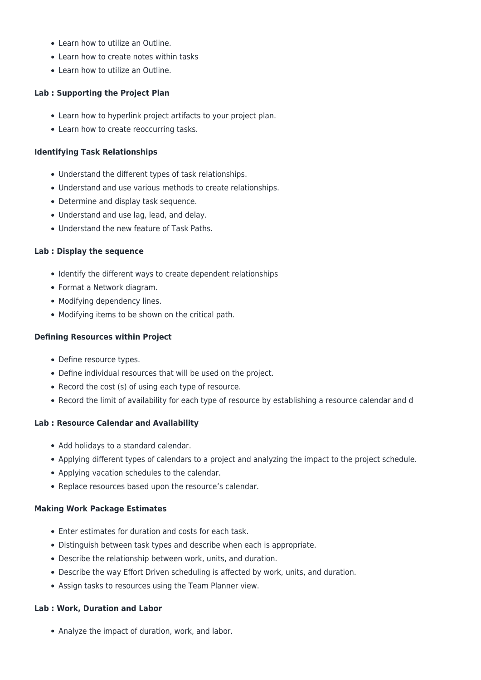- Learn how to utilize an Outline.
- Learn how to create notes within tasks
- Learn how to utilize an Outline.

#### **Lab : Supporting the Project Plan**

- Learn how to hyperlink project artifacts to your project plan.
- Learn how to create reoccurring tasks.

#### **Identifying Task Relationships**

- Understand the different types of task relationships.
- Understand and use various methods to create relationships.
- Determine and display task sequence.
- Understand and use lag, lead, and delay.
- Understand the new feature of Task Paths.

#### **Lab : Display the sequence**

- Identify the different ways to create dependent relationships
- Format a Network diagram.
- Modifying dependency lines.
- Modifying items to be shown on the critical path.

#### **Defining Resources within Project**

- Define resource types.
- Define individual resources that will be used on the project.
- Record the cost (s) of using each type of resource.
- Record the limit of availability for each type of resource by establishing a resource calendar and d

#### **Lab : Resource Calendar and Availability**

- Add holidays to a standard calendar.
- Applying different types of calendars to a project and analyzing the impact to the project schedule.
- Applying vacation schedules to the calendar.
- Replace resources based upon the resource's calendar.

#### **Making Work Package Estimates**

- Enter estimates for duration and costs for each task.
- Distinguish between task types and describe when each is appropriate.
- Describe the relationship between work, units, and duration.
- Describe the way Effort Driven scheduling is affected by work, units, and duration.
- Assign tasks to resources using the Team Planner view.

#### **Lab : Work, Duration and Labor**

• Analyze the impact of duration, work, and labor.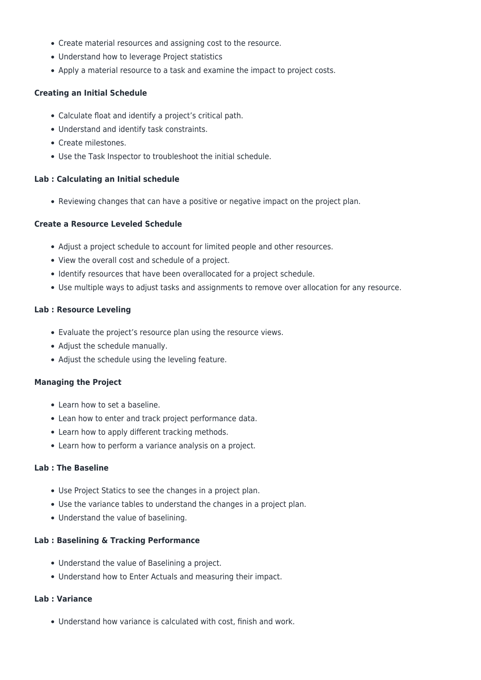- Create material resources and assigning cost to the resource.
- Understand how to leverage Project statistics
- Apply a material resource to a task and examine the impact to project costs.

#### **Creating an Initial Schedule**

- Calculate float and identify a project's critical path.
- Understand and identify task constraints.
- Create milestones.
- Use the Task Inspector to troubleshoot the initial schedule.

#### **Lab : Calculating an Initial schedule**

• Reviewing changes that can have a positive or negative impact on the project plan.

#### **Create a Resource Leveled Schedule**

- Adjust a project schedule to account for limited people and other resources.
- View the overall cost and schedule of a project.
- Identify resources that have been overallocated for a project schedule.
- Use multiple ways to adjust tasks and assignments to remove over allocation for any resource.

#### **Lab : Resource Leveling**

- Evaluate the project's resource plan using the resource views.
- Adjust the schedule manually.
- Adjust the schedule using the leveling feature.

#### **Managing the Project**

- Learn how to set a baseline.
- Lean how to enter and track project performance data.
- Learn how to apply different tracking methods.
- Learn how to perform a variance analysis on a project.

#### **Lab : The Baseline**

- Use Project Statics to see the changes in a project plan.
- Use the variance tables to understand the changes in a project plan.
- Understand the value of baselining.

#### **Lab : Baselining & Tracking Performance**

- Understand the value of Baselining a project.
- Understand how to Enter Actuals and measuring their impact.

#### **Lab : Variance**

Understand how variance is calculated with cost, finish and work.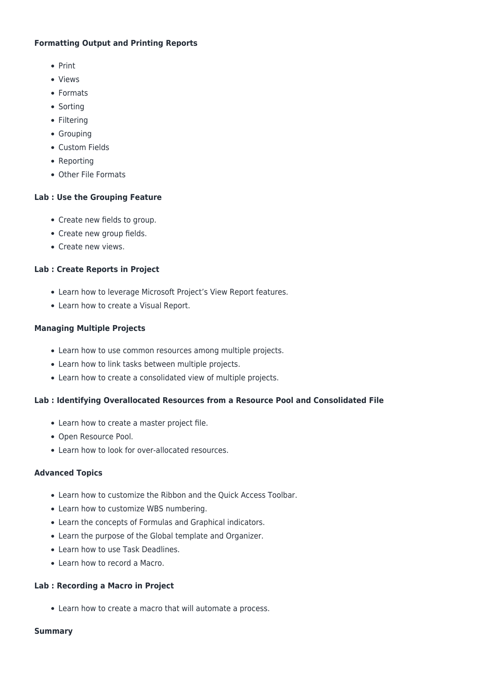#### **Formatting Output and Printing Reports**

- Print
- Views
- Formats
- Sorting
- Filtering
- Grouping
- Custom Fields
- Reporting
- Other File Formats

#### **Lab : Use the Grouping Feature**

- Create new fields to group.
- Create new group fields.
- Create new views.

#### **Lab : Create Reports in Project**

- Learn how to leverage Microsoft Project's View Report features.
- Learn how to create a Visual Report.

#### **Managing Multiple Projects**

- Learn how to use common resources among multiple projects.
- Learn how to link tasks between multiple projects.
- Learn how to create a consolidated view of multiple projects.

#### **Lab : Identifying Overallocated Resources from a Resource Pool and Consolidated File**

- Learn how to create a master project file.
- Open Resource Pool.
- Learn how to look for over-allocated resources.

#### **Advanced Topics**

- Learn how to customize the Ribbon and the Quick Access Toolbar.
- Learn how to customize WBS numbering.
- Learn the concepts of Formulas and Graphical indicators.
- Learn the purpose of the Global template and Organizer.
- Learn how to use Task Deadlines.
- Learn how to record a Macro.

#### **Lab : Recording a Macro in Project**

Learn how to create a macro that will automate a process.

#### **Summary**